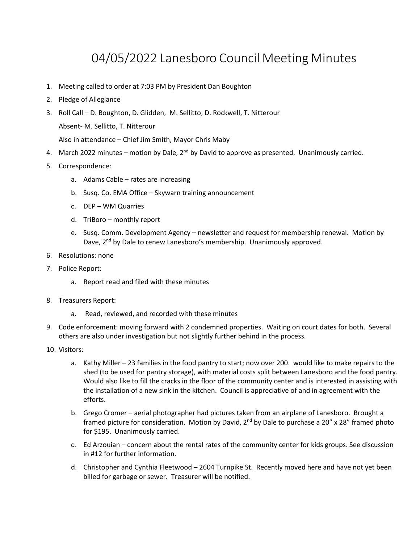## 04/05/2022 Lanesboro Council Meeting Minutes

- 1. Meeting called to order at 7:03 PM by President Dan Boughton
- 2. Pledge of Allegiance
- 3. Roll Call D. Boughton, D. Glidden, M. Sellitto, D. Rockwell, T. Nitterour Absent- M. Sellitto, T. Nitterour

Also in attendance – Chief Jim Smith, Mayor Chris Maby

- 4. March 2022 minutes motion by Dale, 2<sup>nd</sup> by David to approve as presented. Unanimously carried.
- 5. Correspondence:
	- a. Adams Cable rates are increasing
	- b. Susq. Co. EMA Office Skywarn training announcement
	- c. DEP WM Quarries
	- d. TriBoro monthly report
	- e. Susq. Comm. Development Agency newsletter and request for membership renewal. Motion by Dave, 2<sup>nd</sup> by Dale to renew Lanesboro's membership. Unanimously approved.
- 6. Resolutions: none
- 7. Police Report:
	- a. Report read and filed with these minutes
- 8. Treasurers Report:
	- a. Read, reviewed, and recorded with these minutes
- 9. Code enforcement: moving forward with 2 condemned properties. Waiting on court dates for both. Several others are also under investigation but not slightly further behind in the process.
- 10. Visitors:
	- a. Kathy Miller 23 families in the food pantry to start; now over 200. would like to make repairs to the shed (to be used for pantry storage), with material costs split between Lanesboro and the food pantry. Would also like to fill the cracks in the floor of the community center and is interested in assisting with the installation of a new sink in the kitchen. Council is appreciative of and in agreement with the efforts.
	- b. Grego Cromer aerial photographer had pictures taken from an airplane of Lanesboro. Brought a framed picture for consideration. Motion by David, 2<sup>nd</sup> by Dale to purchase a 20" x 28" framed photo for \$195. Unanimously carried.
	- c. Ed Arzouian concern about the rental rates of the community center for kids groups. See discussion in #12 for further information.
	- d. Christopher and Cynthia Fleetwood 2604 Turnpike St. Recently moved here and have not yet been billed for garbage or sewer. Treasurer will be notified.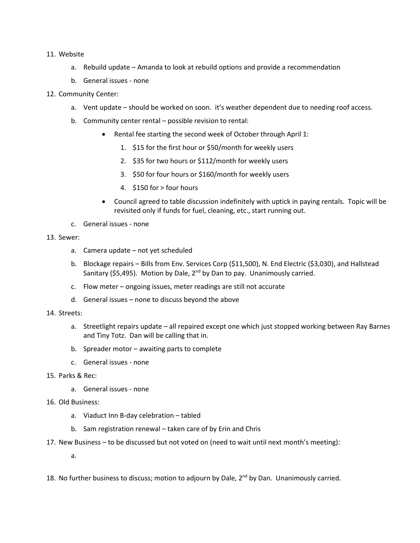#### 11. Website

- a. Rebuild update Amanda to look at rebuild options and provide a recommendation
- b. General issues none
- 12. Community Center:
	- a. Vent update should be worked on soon. it's weather dependent due to needing roof access.
	- b. Community center rental possible revision to rental:
		- Rental fee starting the second week of October through April 1:
			- 1. \$15 for the first hour or \$50/month for weekly users
			- 2. \$35 for two hours or \$112/month for weekly users
			- 3. \$50 for four hours or \$160/month for weekly users
			- 4. \$150 for > four hours
		- Council agreed to table discussion indefinitely with uptick in paying rentals. Topic will be revisited only if funds for fuel, cleaning, etc., start running out.
	- c. General issues none

#### 13. Sewer:

- a. Camera update not yet scheduled
- b. Blockage repairs Bills from Env. Services Corp (\$11,500), N. End Electric (\$3,030), and Hallstead Sanitary (\$5,495). Motion by Dale, 2<sup>nd</sup> by Dan to pay. Unanimously carried.
- c. Flow meter ongoing issues, meter readings are still not accurate
- d. General issues none to discuss beyond the above

#### 14. Streets:

- a. Streetlight repairs update all repaired except one which just stopped working between Ray Barnes and Tiny Totz. Dan will be calling that in.
- b. Spreader motor awaiting parts to complete
- c. General issues none
- 15. Parks & Rec:
	- a. General issues none
- 16. Old Business:
	- a. Viaduct Inn B-day celebration tabled
	- b. Sam registration renewal taken care of by Erin and Chris
- 17. New Business to be discussed but not voted on (need to wait until next month's meeting):

a.

18. No further business to discuss; motion to adjourn by Dale, 2<sup>nd</sup> by Dan. Unanimously carried.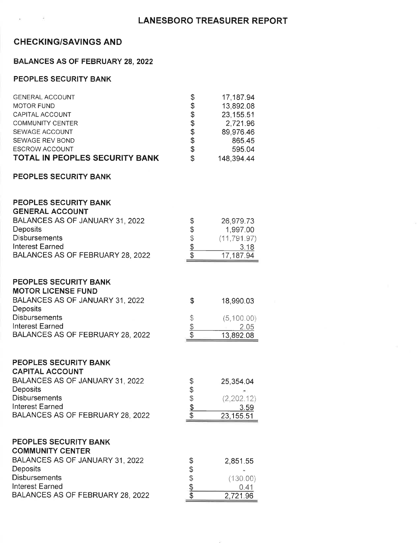### **CHECKING/SAVINGS AND**

#### **BALANCES AS OF FEBRUARY 28, 2022**

#### PEOPLES SECURITY BANK

| <b>GENERAL ACCOUNT</b>                | \$ | 17,187.94  |
|---------------------------------------|----|------------|
| <b>MOTOR FUND</b>                     | \$ | 13,892.08  |
| CAPITAL ACCOUNT                       | \$ | 23,155.51  |
| COMMUNITY CENTER                      | \$ | 2,721.96   |
| SEWAGE ACCOUNT                        | \$ | 89,976.46  |
| SEWAGE REV BOND                       | \$ | 865.45     |
| <b>ESCROW ACCOUNT</b>                 | \$ | 595.04     |
| <b>TOTAL IN PEOPLES SECURITY BANK</b> | S  | 148,394.44 |

#### PEOPLES SECURITY BANK

#### PEOPLES SECURITY BANK **GENERAL ACCOUNT** BALANCES AS OF JANUARY 31, 2022  $\mathbb{S}$ 26.979.73 Deposits  $\mathsf{\$}$ 1,997.00 Disbursements  $\hat{\mathcal{S}}$  $(11.791.97)$  $\frac{1}{2}$ **Interest Earned**  $3.18$ BALANCES AS OF FEBRUARY 28, 2022  $\mathcal{S}$ 17,187.94 PEOPLES SECURITY BANK **MOTOR LICENSE FUND** BALANCES AS OF JANUARY 31, 2022 \$ 18,990.03 Deposits **Disbursements**  $\mathbb{S}$  $(5,100.00)$ **Interest Earned**  $\frac{1}{2}$ 2.05 BALANCES AS OF FEBRUARY 28, 2022  $\mathcal{L}$ 13,892.08

#### PEOPLES SECURITY BANK CAPITAL ACCOUNT

| <u>UAFIIAL AUUUUNI</u>           |   |            |
|----------------------------------|---|------------|
| BALANCES AS OF JANUARY 31, 2022  | S | 25,354.04  |
| <b>Deposits</b>                  |   |            |
| <b>Disbursements</b>             | S | (2,202,12) |
| <b>Interest Earned</b>           |   | 3.59       |
| BALANCES AS OF FEBRUARY 28, 2022 |   | 23,155.51  |
|                                  |   |            |

#### PEOPLES SECURITY BANK

| <b>COMMUNITY CENTER</b>          |          |
|----------------------------------|----------|
| BALANCES AS OF JANUARY 31, 2022  | 2,851.55 |
| <b>Deposits</b>                  |          |
| <b>Disbursements</b>             | (130.00) |
| Interest Earned                  | () 41    |
| BALANCES AS OF FEBRUARY 28, 2022 | 2,721.96 |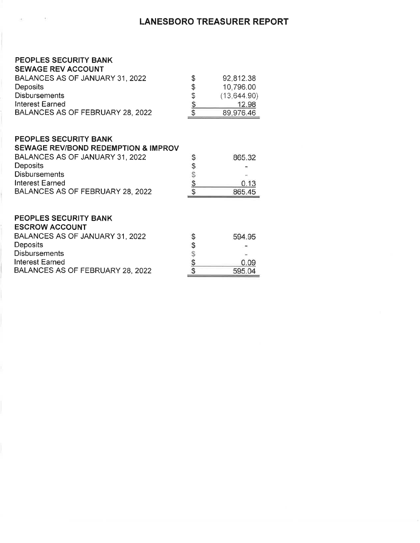### **LANESBORO TREASURER REPORT**

#### PEOPLES SECURITY BANK  $-$ . . . . . .

 $\pm$ 

san.

| <b>SEWAGE REV ACCOUNT</b>        |    |               |
|----------------------------------|----|---------------|
| BALANCES AS OF JANUARY 31, 2022  | \$ | 92,812.38     |
| <b>Deposits</b>                  | S  | 10,796.00     |
| <b>Disbursements</b>             | S  | (13, 644, 90) |
| Interest Earned                  |    | 12.98         |
| BALANCES AS OF FEBRUARY 28, 2022 |    | 89,976.46     |
|                                  |    |               |

#### PEOPLES SECURITY BANK

| 865.32 |
|--------|
|        |
|        |
| 0.13   |
| 865.45 |
|        |

#### PEOPLES SECURITY BANK ESCROM ACCOUNT

| ESURUW AUUUUN I                  |        |
|----------------------------------|--------|
| BALANCES AS OF JANUARY 31, 2022  | 594.95 |
| <b>Deposits</b>                  |        |
| <b>Disbursements</b>             | $\sim$ |
| Interest Earned                  | 0.09   |
| BALANCES AS OF FEBRUARY 28, 2022 | 595.04 |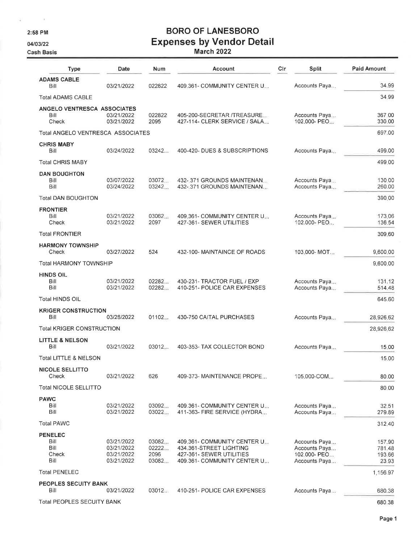2:58 PM

 $\bar{c}$ 

04/03/22

**Cash Basis** 

# **BORO OF LANESBORO Expenses by Vendor Detail**<br>March 2022

| <b>Type</b>                                     | Date                                                 | Num                             | Account                                                                                                                 | Cir | Split                                                           | <b>Paid Amount</b>                  |
|-------------------------------------------------|------------------------------------------------------|---------------------------------|-------------------------------------------------------------------------------------------------------------------------|-----|-----------------------------------------------------------------|-------------------------------------|
| <b>ADAMS CABLE</b><br>Bill                      | 03/21/2022                                           | 022822                          | 409.361- COMMUNITY CENTER U.L.                                                                                          |     | Accounts Paya                                                   | 34.99                               |
| <b>Total ADAMS CABLE</b>                        |                                                      |                                 |                                                                                                                         |     |                                                                 | 34.99                               |
| ANGELO VENTRESCA ASSOCIATES<br>Bill<br>Check    | 03/21/2022<br>03/21/2022                             | 022822<br>2095                  | 405-200-SECRETAR /TREASURE<br>427-114- CLERK SERVICE / SALA                                                             |     | Accounts Paya<br>102.000- PEO                                   | 367.00<br>330.00                    |
| Total ANGELO VENTRESCA ASSOCIATES               |                                                      |                                 |                                                                                                                         |     |                                                                 | 697.00                              |
| <b>CHRIS MABY</b><br>Bill                       | 03/24/2022                                           | 03242                           | 400-420- DUES & SUBSCRIPTIONS                                                                                           |     | Accounts Paya                                                   | 499.00                              |
| <b>Total CHRIS MABY</b>                         |                                                      |                                 |                                                                                                                         |     |                                                                 | 499.00                              |
| <b>DAN BOUGHTON</b><br>Bill<br>Bill             | 03/07/2022<br>03/24/2022                             | 03072<br>03242                  | 432-371 GROUNDS MAINTENAN<br>432-.371 GROUNDS MAINTENAN                                                                 |     | Accounts Paya<br>Accounts Paya                                  | 130.00<br>260.00                    |
| <b>Total DAN BOUGHTON</b>                       |                                                      |                                 |                                                                                                                         |     |                                                                 | 390.00                              |
| <b>FRONTIER</b><br>Bill<br>Check                | 03/21/2022<br>03/21/2022                             | 03062.<br>2097                  | 409.361- COMMUNITY CENTER U.<br>427-361- SEWER UTILITIES                                                                |     | Accounts Paya<br>102.000- PEO                                   | 173.06<br>136.54                    |
| <b>Total FRONTIER</b>                           |                                                      |                                 |                                                                                                                         |     |                                                                 | 309.60                              |
| <b>HARMONY TOWNSHIP</b><br>Check                | 03/27/2022                                           | 524                             | 432-100- MAINTAINCE OF ROADS                                                                                            |     | 103.000-MOT                                                     | 9,600.00                            |
| Total HARMONY TOWNSHIP                          |                                                      |                                 |                                                                                                                         |     |                                                                 | 9,600.00                            |
| HINDS OIL<br>Bill<br>Bill                       | 03/21/2022<br>03/21/2022                             | 02282<br>02282                  | 430-231- TRACTOR FUEL / EXP<br>410-251- POLICE CAR EXPENSES                                                             |     | Accounts Paya<br>Accounts Paya                                  | 131.12<br>514.48                    |
| Total HINDS OIL                                 |                                                      |                                 |                                                                                                                         |     |                                                                 | 645.60                              |
| <b>KRIGER CONSTRUCTION</b><br>Bill              | 03/28/2022                                           | 01102                           | 430-750 CAITAL PURCHASES                                                                                                |     | Accounts Paya                                                   | 28,926.62                           |
| <b>Total KRIGER CONSTRUCTION</b>                |                                                      |                                 |                                                                                                                         |     |                                                                 | 28,926.62                           |
| <b>LITTLE &amp; NELSON</b><br>Bill              | 03/21/2022                                           | 03012                           | 403-353- TAX COLLECTOR BOND                                                                                             |     | Accounts Paya                                                   | 15.00                               |
| Total LITTLE & NELSON                           |                                                      |                                 |                                                                                                                         |     |                                                                 | 15.00                               |
| <b>NICOLE SELLITTO</b><br>Check                 | 03/21/2022                                           | 626                             | 409-373- MAINTENANCE PROPE                                                                                              |     | 105.000-COM                                                     | 80.00                               |
| <b>Total NICOLE SELLITTO</b>                    |                                                      |                                 |                                                                                                                         |     |                                                                 | 80.00                               |
| <b>PAWC</b><br>Bill<br>Bill                     | 03/21/2022<br>03/21/2022                             | 03092<br>03022                  | 409.361- COMMUNITY CENTER Um<br>411-363- FIRE SERVICE (HYDRA                                                            |     | Accounts Paya<br>Accounts Paya                                  | 32.51<br>279.89                     |
| <b>Total PAWC</b>                               |                                                      |                                 |                                                                                                                         |     |                                                                 | 312.40                              |
| <b>PENELEC</b><br>Bill<br>Bill<br>Check<br>Bill | 03/21/2022<br>03/21/2022<br>03/21/2022<br>03/21/2022 | 03082<br>02222<br>2096<br>03082 | 409.361- COMMUNITY CENTER U.L.<br>434 361-STREET LIGHTING<br>427-361- SEWER UTILITIES<br>409.361- COMMUNITY CENTER U.J. |     | Accounts Paya<br>Accounts Paya<br>102.000- PEO<br>Accounts Paya | 157.90<br>781.48<br>193,66<br>23.93 |
| <b>Total PENELEC</b>                            |                                                      |                                 |                                                                                                                         |     |                                                                 | 1,156.97                            |
| <b>PEOPLES SECUITY BANK</b><br>Bill             | 03/21/2022                                           | 03012.                          | 410-251- POLICE CAR EXPENSES                                                                                            |     | Accounts Paya                                                   | 680.38                              |
| <b>Total PEOPLES SECUITY BANK</b>               |                                                      |                                 |                                                                                                                         |     |                                                                 | 680.38                              |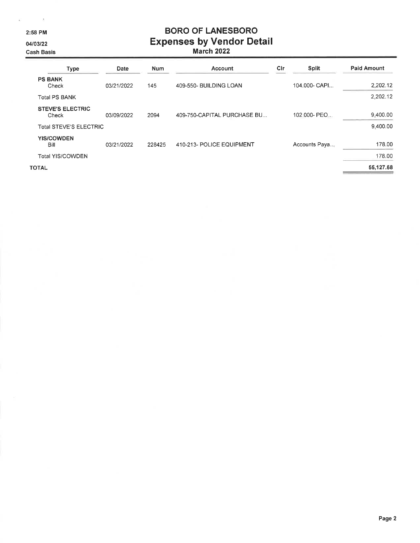2:58 PM

 $\sim$  10

04/03/22

**Cash Basis** 

# **BORO OF LANESBORO** Expenses by Vendor Detail

| <b>Type</b>                      | Date       | <b>Num</b> | Account                     | Cir | Split         | <b>Paid Amount</b> |
|----------------------------------|------------|------------|-----------------------------|-----|---------------|--------------------|
| <b>PS BANK</b><br>Check          | 03/21/2022 | 145        | 409-550- BUILDING LOAN      |     | 104.000- CAPI | 2,202.12           |
| <b>Total PS BANK</b>             |            |            |                             |     |               | 2,202.12           |
| <b>STEVE'S ELECTRIC</b><br>Check | 03/09/2022 | 2094       | 409-750-CAPITAL PURCHASE BU |     | 102.000- PEO  | 9,400.00           |
| <b>Total STEVE'S ELECTRIC</b>    |            |            |                             |     |               | 9.400.00           |
| <b>YIS/COWDEN</b><br>Bill        | 03/21/2022 | 228425     | 410-213- POLICE EQUIPMENT   |     | Accounts Paya | 178.00             |
| <b>Total YIS/COWDEN</b>          |            |            |                             |     |               | 178.00             |
| <b>TOTAL</b>                     |            |            |                             |     |               | 55,127.68          |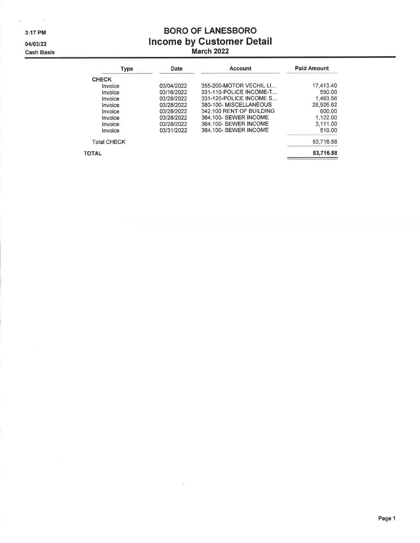3:17 PM

 $\sim$ 

04/03/22

**Cash Basis** 

# **BORO OF LANESBORO** Income by Customer Detail<br>March 2022

| Type               | Date       | <b>Account</b>           | <b>Paid Amount</b> |
|--------------------|------------|--------------------------|--------------------|
| <b>CHECK</b>       |            |                          |                    |
| Invoice            | 03/04/2022 | 355-200-MOTOR VECHIL LI  | 17,413.40          |
| Invoice            | 03/16/2022 | 331-110-POLICE INCOME-T  | 550.00             |
| Invoice            | 03/28/2022 | 331-120-POLICE INCOME S  | 1.483.56           |
| Invoice            | 03/28/2022 | 380-100-MISCELLANEOUS    | 28.926.62          |
| Invoice            | 03/28/2022 | 342.100 RENT OF BUILDING | 600.00             |
| Invoice            | 03/28/2022 | 364.100- SEWER INCOME    | 1,122.00           |
| Invoice            | 03/28/2022 | 364.100- SEWER INCOME    | 3,111.00           |
| Invoice            | 03/31/2022 | 364.100- SEWER INCOME    | 510.00             |
| <b>Total CHECK</b> |            |                          | 53,716.58          |
| <b>TOTAL</b>       |            |                          | 53,716.58          |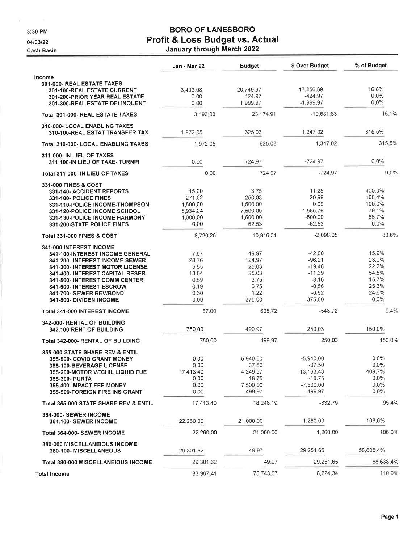3:30 PM

04/03/22

**Cash Basis** 

## **BORO OF LANESBORO** Profit & Loss Budget vs. Actual<br>January through March 2022

|                                                                                                                                                                                                                                                                                       | Jan - Mar 22                                                   | <b>Budget</b>                                                       | \$ Over Budget                                                                             | % of Budget                                                            |
|---------------------------------------------------------------------------------------------------------------------------------------------------------------------------------------------------------------------------------------------------------------------------------------|----------------------------------------------------------------|---------------------------------------------------------------------|--------------------------------------------------------------------------------------------|------------------------------------------------------------------------|
| Income<br>301-000- REAL ESTATE TAXES<br>301-100-REAL ESTATE CURRENT                                                                                                                                                                                                                   | 3,493,08                                                       | 20,749.97                                                           | $-17,256,89$                                                                               | 16.8%                                                                  |
| 301-200-PRIOR YEAR REAL ESTATE<br>301-300-REAL ESTATE DELINQUENT                                                                                                                                                                                                                      | 0.00<br>0.00                                                   | 424.97<br>1,999.97                                                  | $-424.97$<br>$-1,999.97$                                                                   | $0.0\%$<br>0.0%                                                        |
| Total 301-000- REAL ESTATE TAXES                                                                                                                                                                                                                                                      | 3,493,08                                                       | 23,174.91                                                           | $-19,681,83$                                                                               | 15.1%                                                                  |
| 310-000- LOCAL ENABLING TAXES<br>310-100-REAL ESTAT TRANSFER TAX                                                                                                                                                                                                                      | 1.972.05                                                       | 625.03                                                              | 1,347.02                                                                                   | 315.5%                                                                 |
| Total 310-000- LOCAL ENABLING TAXES                                                                                                                                                                                                                                                   | 1,972.05                                                       | 625.03                                                              | 1,347.02                                                                                   | 315.5%                                                                 |
| 311-000- IN LIEU OF TAXES<br>311.100-IN LIEU OF TAXE- TURNPI                                                                                                                                                                                                                          | 0.00                                                           | 724.97                                                              | $-724.97$                                                                                  | $0.0\%$                                                                |
| Total 311-000- IN LIEU OF TAXES                                                                                                                                                                                                                                                       | 0.00                                                           | 724.97                                                              | $-724.97$                                                                                  | 0.0%                                                                   |
| <b>331-000 FINES &amp; COST</b><br>331-140- ACCIDENT REPORTS<br>331-100- POLICE FINES<br>331-110-POLICE INCOME-THOMPSON<br>331-120-POLICE INCOME SCHOOL<br>331-130-POLICE INCOME HARMONY<br>331-200-STATE POLICE FINES                                                                | 15.00<br>271.02<br>1,500.00<br>5,934.24<br>1,000.00<br>0.00    | 3.75<br>250.03<br>1,500.00<br>7,500.00<br>1.500.00<br>62.53         | 11.25<br>20.99<br>0.00<br>$-1,565.76$<br>$-500.00$<br>$-62.53$                             | 400.0%<br>108.4%<br>100.0%<br>79.1%<br>66.7%<br>0.0%                   |
| Total 331-000 FINES & COST                                                                                                                                                                                                                                                            | 8,720.26                                                       | 10,816.31                                                           | $-2,096.05$                                                                                | 80.6%                                                                  |
| 341-000 INTEREST INCOME<br>341-100-INTEREST INCOME GENERAL<br>341-200- INTEREST INCOME SEWER<br>341-300- INTEREST MOTOR LICENSE<br>341-400- INTEREST CAPITAL RESER<br>341-500- INTEREST COMM CENTER<br>341-600- INTEREST ESCROW<br>341-700- SEWER REV/BOND<br>341-800- DIVIDEN INCOME | 7.97<br>28.76<br>5.55<br>13.64<br>0.59<br>0.19<br>0.30<br>0.00 | 49.97<br>124.97<br>25.03<br>25.03<br>3.75<br>0.75<br>1,22<br>375.00 | $-42.00$<br>$-96.21$<br>$-19.48$<br>$-11.39$<br>$-3.16$<br>$-0.56$<br>$-0.92$<br>$-375.00$ | 15.9%<br>23.0%<br>22.2%<br>54.5%<br>15.7%<br>25.3%<br>24.6%<br>$0.0\%$ |
| Total 341-000 INTEREST INCOME                                                                                                                                                                                                                                                         | 57.00                                                          | 605.72                                                              | $-548.72$                                                                                  | 9.4%                                                                   |
| 342-000- RENTAL OF BUILDING<br>342.100 RENT OF BUILDING                                                                                                                                                                                                                               | 750.00                                                         | 499.97                                                              | 250.03                                                                                     | 150.0%                                                                 |
| Total 342-000- RENTAL OF BUILDING                                                                                                                                                                                                                                                     | 750.00                                                         | 499.97                                                              | 250.03                                                                                     | 150.0%                                                                 |
| 355-000-STATE SHARE REV & ENTIL<br>355-600- COVID GRANT MONEY<br><b>355-100-BEVERAGE LICENSE</b><br><b>355-200-MOTOR VECHIL LIQUID FUE</b><br>355-300- PURTA<br>355.400-IMPACT FEE MONEY<br>355-500-FOREIGN FIRE INS GRANT                                                            | 0.00<br>0.00<br>17,413.40<br>0.00<br>0.00<br>0.00              | 5,940.00<br>37.50<br>4,249.97<br>18.75<br>7,500.00<br>499.97        | $-5,940,00$<br>$-37,50$<br>13, 163. 43<br>$-18.75$<br>$-7,500.00$<br>$-499.97$             | 0.0%<br>$0.0\%$<br>409,7%<br>$0.0\%$<br>$0.0\%$<br>$0.0\%$             |
| Total 355-000-STATE SHARE REV & ENTIL                                                                                                                                                                                                                                                 | 17,413.40                                                      | 18,246.19                                                           | $-832.79$                                                                                  | 95.4%                                                                  |
| <b>364-000- SEWER INCOME</b><br><b>364.100- SEWER INCOME</b>                                                                                                                                                                                                                          | 22,260.00                                                      | 21,000.00                                                           | 1,260.00                                                                                   | 106.0%                                                                 |
| Total 364-000- SEWER INCOME                                                                                                                                                                                                                                                           | 22,260.00                                                      | 21,000.00                                                           | 1.260.00                                                                                   | 106.0%                                                                 |
| <b>380-000 MISCELLANEIOUS INCOME</b><br><b>380-100- MISCELLANEOUS</b>                                                                                                                                                                                                                 | 29,301,62                                                      | 49.97                                                               | 29,251.65                                                                                  | 58,638,4%                                                              |
| Total 380-000 MISCELLANEIOUS INCOME                                                                                                                                                                                                                                                   | 29,301.62                                                      | 49.97                                                               | 29,251.65                                                                                  | 58,638.4%                                                              |
| <b>Total Income</b>                                                                                                                                                                                                                                                                   | 83,967.41                                                      | 75,743,07                                                           | 8,224.34                                                                                   | 110.9%                                                                 |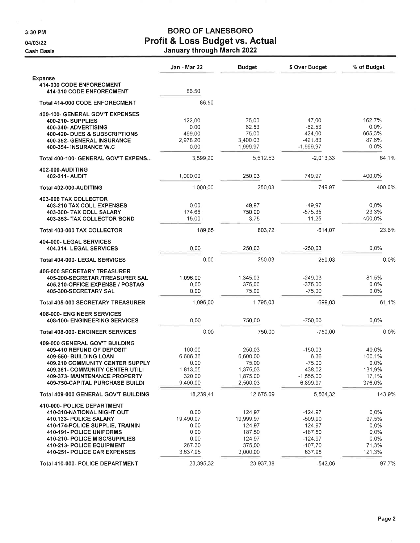3:30 PM

ä,

04/03/22

**Cash Basis** 

# **BORO OF LANESBORO** Profit & Loss Budget vs. Actual<br>January through March 2022

|                                                      | Jan - Mar 22 | <b>Budget</b> | \$ Over Budget | % of Budget |
|------------------------------------------------------|--------------|---------------|----------------|-------------|
| <b>Expense</b>                                       |              |               |                |             |
| 414-000 CODE ENFORECMENT<br>414-310 CODE ENFORECMENT | 86.50        |               |                |             |
| <b>Total 414-000 CODE ENFORECMENT</b>                | 86.50        |               |                |             |
| 400-100- GENERAL GOV'T EXPENSES                      |              |               |                |             |
| 400-210- SUPPLIES                                    | 122.00       | 75,00         | 47.00          | 162.7%      |
| 400-340- ADVERTISING                                 | 0.00         | 62.53         | $-62.53$       | 0.0%        |
| 400-420- DUES & SUBSCRIPTIONS                        | 499.00       | 75.00         | 424.00         | 665.3%      |
| 400-352- GENERAL INSURANCE                           | 2.978.20     | 3,400.03      | $-421.83$      | 87.6%       |
| 400-354- INSURANCE W.C                               | 0.00         | 1,999.97      | $-1,999.97$    | 0.0%        |
| Total 400-100- GENERAL GOV'T EXPENS                  | 3,599.20     | 5,612.53      | $-2,013,33$    | 64.1%       |
| 402-000-AUDITING                                     |              |               |                |             |
| 402-311- AUDIT                                       | 1,000.00     | 250.03        | 749.97         | 400.0%      |
| Total 402-000-AUDITING                               | 1.000.00     | 250.03        | 749.97         | 400.0%      |
| <b>403-000 TAX COLLECTOR</b>                         |              |               |                |             |
| 403-210 TAX COLL EXPENSES                            | 0.00         | 49.97         | -49.97         | $0.0\%$     |
| 403-300- TAX COLL SALARY                             | 174.65       | 750.00        | $-575.35$      | 23.3%       |
| 403-353- TAX COLLECTOR BOND                          | 15.00        | 3.75          | 11.25          | 400,0%      |
| Total 403-000 TAX COLLECTOR                          | 189.65       | 803.72        | $-614.07$      | 23.6%       |
| 404-000- LEGAL SERVICES<br>404.314- LEGAL SERVICES   | 0.00         | 250.03        | $-250,03$      | $0.0\%$     |
|                                                      |              |               |                |             |
| Total 404-000- LEGAL SERVICES                        | 0.00         | 250.03        | $-250.03$      | 0.0%        |
| <b>405-000 SECRETARY TREASURER</b>                   |              |               |                |             |
| 405-200-SECRETAR /TREASURER SAL                      | 1,096.00     | 1,345.03      | $-249.03$      | 81.5%       |
| 405.210-OFFICE EXPENSE / POSTAG                      | 0.00         | 375,00        | $-375.00$      | 0.0%        |
| 405-300-SECRETARY SAL                                | 0.00         | 75.00         | $-75.00$       | $0.0\%$     |
| <b>Total 405-000 SECRETARY TREASURER</b>             | 1,096.00     | 1,795.03      | $-699.03$      | 61.1%       |
| 408-000- ENGINEER SERVICES                           |              |               |                |             |
| <b>408-100- ENGINEERING SERVICES</b>                 | 0.00         | 750.00        | $-750.00$      | $0.0\%$     |
| Total 408-000- ENGINEER SERVICES                     | 0.00         | 750.00        | $-750.00$      | 0.0%        |
| 409-000 GENERAL GOV'T BUILDING                       |              |               |                |             |
| 409-410 REFUND OF DEPOSIT                            | 100.00       | 250.03        | $-150.03$      | 40.0%       |
| 409-550- BUILDING LOAN                               | 6,606.36     | 6,600.00      | 6.36           | 100.1%      |
| <b>409.210 COMMUNITY CENTER SUPPLY</b>               | 0.00         | 75.00         | $-75.00$       | $0.0\%$     |
| 409.361- COMMUNITY CENTER UTILI                      | 1,813.05     | 1,375.03      | 438.02         | 131.9%      |
| 409-373- MAINTENANCE PROPERTY                        | 320,00       | 1,875.00      | $-1,555.00$    | 17.1%       |
| 409-750-CAPITAL PURCHASE BUILDI                      | 9,400.00     | 2,500.03      | 6,899.97       | 376.0%      |
| Total 409-000 GENERAL GOV'T BUILDING                 | 18,239.41    | 12,675.09     | 5,564.32       | 143.9%      |
| 410-000- POLICE DEPARTMENT                           |              |               |                |             |
| 410-310-NATIONAL NIGHT OUT                           | 0.00         | 124.97        | $-124.97$      | $0.0\%$     |
| 410.133- POLICE SALARY                               | 19,490.07    | 19,999.97     | $-509.90$      | 97.5%       |
| 410-174-POLICE SUPPLIE, TRAININ                      | 0.00         | 124.97        | $-124.97$      | 0.0%        |
| 410-191- POLICE UNIFORMS                             | 0.00         | 187.50        | $-187.50$      | $0.0\%$     |
| 410-210- POLICE MISC/SUPPLIES                        | 0.00         | 124.97        | $-124.97$      | 0.0%        |
| 410-213- POLICE EQUIPMENT                            | 267.30       | 375.00        | $-107.70$      | 71.3%       |
| 410-251- POLICE CAR EXPENSES                         | 3,637.95     | 3,000.00      | 637.95         | 121.3%      |
|                                                      |              |               |                |             |
| Total 410-000- POLICE DEPARTMENT                     | 23,395.32    | 23,937,38     | $-542.06$      | 97.7%       |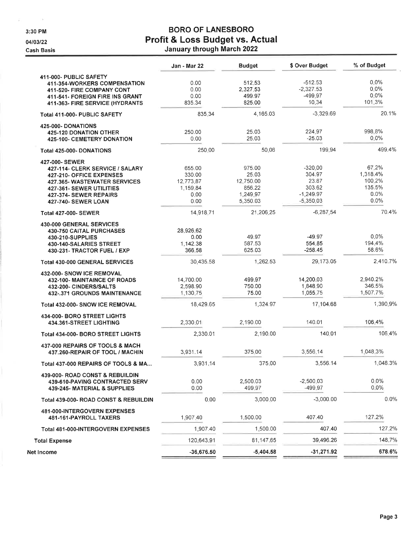3:30 PM

 $\tilde{p}$  .

 $\sim$  10

04/03/22

**Cash Basis** 

### **BORO OF LANESBORO** Profit & Loss Budget vs. Actual January through March 2022

|                                                                                                                                                                                                   | Jan - Mar 22                                              | <b>Budget</b>                                                  | \$ Over Budget                                                       | % of Budget                                           |
|---------------------------------------------------------------------------------------------------------------------------------------------------------------------------------------------------|-----------------------------------------------------------|----------------------------------------------------------------|----------------------------------------------------------------------|-------------------------------------------------------|
| 411-000- PUBLIC SAFETY<br><b>411-354-WORKERS COMPENSATION</b><br>411-520- FIRE COMPANY CONT<br>411-541- FOREIGN FIRE INS GRANT<br>411-363- FIRE SERVICE (HYDRANTS                                 | 0.00<br>0.00<br>0.00<br>835.34                            | 512.53<br>2,327.53<br>499.97<br>825.00                         | $-512.53$<br>$-2,327.53$<br>-499.97<br>10.34                         | 0.0%<br>$0.0\%$<br>$0.0\%$<br>101.3%                  |
| Total 411-000- PUBLIC SAFETY                                                                                                                                                                      | 835.34                                                    | 4,165.03                                                       | $-3,329.69$                                                          | 20.1%                                                 |
| 425-000- DONATIONS<br><b>425-120 DONATION OTHER</b><br><b>425-100- CEMETERY DONATION</b>                                                                                                          | 250.00<br>0.00                                            | 25.03<br>25.03                                                 | 224.97<br>$-25.03$                                                   | 998.8%<br>$0.0\%$                                     |
| Total 425-000-DONATIONS                                                                                                                                                                           | 250.00                                                    | 50.06                                                          | 199.94                                                               | 499.4%                                                |
| 427-000- SEWER<br>427-114- CLERK SERVICE / SALARY<br>427-210- OFFICE EXPENSES<br><b>427.365- WASTEWATER SERVICES</b><br>427-361- SEWER UTILITIES<br>427-374- SEWER REPAIRS<br>427-740- SEWER LOAN | 655.00<br>330.00<br>12,773.87<br>1,159.84<br>0.00<br>0.00 | 975.00<br>25.03<br>12,750.00<br>856.22<br>1,249.97<br>5,350.03 | $-320.00$<br>304.97<br>23.87<br>303.62<br>$-1.249.97$<br>$-5,350.03$ | 67.2%<br>1,318.4%<br>100.2%<br>135.5%<br>0.0%<br>0.0% |
| <b>Total 427-000- SEWER</b>                                                                                                                                                                       | 14,918.71                                                 | 21,206.25                                                      | $-6,287,54$                                                          | 70.4%                                                 |
| 430-000 GENERAL SERVICES<br><b>430-750 CAITAL PURCHASES</b><br>430-210-SUPPLIES<br>430-140-SALARIES STREET<br>430-231- TRACTOR FUEL / EXP                                                         | 28,926.62<br>0.00<br>1,142.38<br>366.58                   | 49.97<br>587.53<br>625.03                                      | $-49.97$<br>554.85<br>$-258.45$                                      | 0.0%<br>194.4%<br>58.6%                               |
| <b>Total 430-000 GENERAL SERVICES</b>                                                                                                                                                             | 30,435.58                                                 | 1,262.53                                                       | 29,173.05                                                            | 2,410.7%                                              |
| 432-000- SNOW ICE REMOVAL<br>432-100- MAINTAINCE OF ROADS<br>432-200- CINDERS/SALTS<br>432-.371 GROUNDS MAINTENANCE                                                                               | 14,700.00<br>2,598.90<br>1,130.75                         | 499.97<br>750.00<br>75.00                                      | 14,200.03<br>1,848.90<br>1:055.75                                    | 2,940.2%<br>346.5%<br>1,507.7%                        |
| Total 432-000- SNOW ICE REMOVAL                                                                                                                                                                   | 18,429.65                                                 | 1,324.97                                                       | 17,104.68                                                            | 1,390.9%                                              |
| 434-000- BORO STREET LIGHTS<br>434.361-STREET LIGHTING<br>Total 434-000- BORO STREET LIGHTS                                                                                                       | 2,330.01<br>2,330.01                                      | 2,190.00<br>2,190.00                                           | 140.01<br>140.01                                                     | 106.4%<br>106.4%                                      |
| 437-000 REPAIRS OF TOOLS & MACH<br>437.260-REPAIR OF TOOL / MACHIN                                                                                                                                | 3,931.14                                                  | 375.00                                                         | 3,556,14                                                             | 1,048.3%                                              |
| Total 437-000 REPAIRS OF TOOLS & MA                                                                                                                                                               | 3,931.14                                                  | 375.00                                                         | 3,556.14                                                             | 1,048.3%                                              |
| 439-000- ROAD CONST & REBUILDIN<br>439-610-PAVING CONTRACTED SERV<br>439-245- MATERIAL & SUPPLIES                                                                                                 | 0.00<br>0.00                                              | 2,500.03<br>499.97                                             | $-2,500.03$<br>$-499.97$                                             | $0.0\%$<br>$0.0\%$                                    |
| Total 439-000- ROAD CONST & REBUILDIN                                                                                                                                                             | 0.00                                                      | 3,000.00                                                       | $-3,000.00$                                                          | 0.0%                                                  |
| 481-000-INTERGOVERN EXPENSES<br>481-161-PAYROLL TAXERS                                                                                                                                            | 1,907.40                                                  | 1,500.00                                                       | 407.40                                                               | 127.2%                                                |
| Total 481-000-INTERGOVERN EXPENSES                                                                                                                                                                | 1,907.40                                                  | 1,500.00                                                       | 407.40                                                               | 127.2%                                                |
| <b>Total Expense</b>                                                                                                                                                                              | 120,643.91                                                | 81,147,65                                                      | 39,496.26                                                            | 148,7%                                                |
| Net Income                                                                                                                                                                                        | $-36,676.50$                                              | $-5,404.58$                                                    | $-31,271.92$                                                         | 678.6%                                                |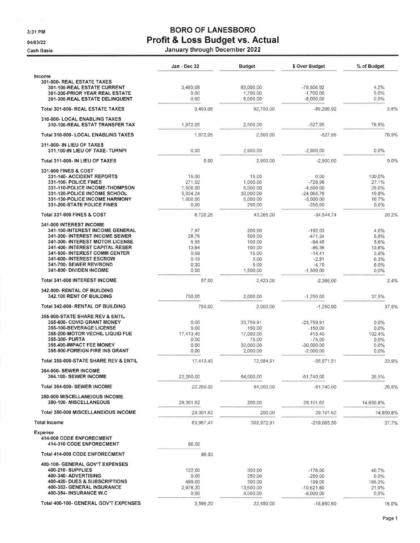3:31 PM

04/03/22

**Cash Basis** 

## **BORO OF LANESBORO** Profit & Loss Budget vs. Actual

| January through December 2022 |  |
|-------------------------------|--|
|-------------------------------|--|

|                                                                                                                                                                                                                                                                                       | Jan - Dec 22                                                   | Budget                                                                    | \$ Over Budget                                                                                  | % of Budget                                                      |
|---------------------------------------------------------------------------------------------------------------------------------------------------------------------------------------------------------------------------------------------------------------------------------------|----------------------------------------------------------------|---------------------------------------------------------------------------|-------------------------------------------------------------------------------------------------|------------------------------------------------------------------|
| Income<br>301-000- REAL ESTATE TAXES<br>301-100-REAL ESTATE CURRENT<br>301-200-PRIOR YEAR REAL ESTATE<br>301-300-REAL ESTATE DELINQUENT                                                                                                                                               | 3,493.08<br>0.00<br>0.00                                       | 83,000.00<br>1,700.00<br>8,000.00                                         | $-79,506,92$<br>$-1,700,00$<br>$-8,000,00$                                                      | 4.2%<br>$0.0\%$<br>0.0%                                          |
| Total 301-000- REAL ESTATE TAXES                                                                                                                                                                                                                                                      | 3,493.08                                                       | 92,700.00                                                                 | $-89,206,92$                                                                                    | 3.8%                                                             |
| 310-000- LOCAL ENABLING TAXES<br>310-100-REAL ESTAT TRANSFER TAX                                                                                                                                                                                                                      | 1,972.05                                                       | 2,500.00                                                                  | $-527.95$                                                                                       | 78.9%                                                            |
| Total 310-000- LOCAL ENABLING TAXES                                                                                                                                                                                                                                                   | 1.972.05                                                       | 2,500.00                                                                  | $-527.95$                                                                                       | 78.9%                                                            |
| 311-000- IN LIEU OF TAXES<br>311.100-IN LIEU OF TAXE- TURNPI                                                                                                                                                                                                                          | 0.00                                                           | 2,900.00                                                                  | $-2,900,00$                                                                                     | 0.0%                                                             |
| Total 311-000- IN LIEU OF TAXES                                                                                                                                                                                                                                                       | 0.00                                                           | 2,900 00                                                                  | $-2,900,00$                                                                                     | 0.0%                                                             |
| <b>331-000 FINES &amp; COST</b>                                                                                                                                                                                                                                                       |                                                                |                                                                           |                                                                                                 |                                                                  |
| 331-140- ACCIDENT REPORTS<br>331-100- POLICE FINES<br>331-110-POLICE INCOME-THOMPSON<br>331-120-POLICE INCOME SCHOOL<br>331-130-POLICE INCOME HARMONY<br>331-200-STATE POLICE FINES                                                                                                   | 15:00<br>271.02<br>1,500,00<br>5.934.24<br>1,000.00<br>0.00    | 15.00<br>1,000,00<br>6,000.00<br>30,000.00<br>6,000.00<br>250.00          | 0.00<br>$-728.98$<br>$-4,500,00$<br>$-24,065,76$<br>$-5,000,00$<br>$-250,00$                    | 100.0%<br>27.1%<br>25.0%<br>19.8%<br>16.7%<br>$0.0\%$            |
| <b>Total 331-000 FINES &amp; COST</b>                                                                                                                                                                                                                                                 | 8,720.26                                                       | 43.265.00                                                                 | $-34,544.74$                                                                                    | 20.2%                                                            |
| 341-000 INTEREST INCOME<br>341-100-INTEREST INCOME GENERAL<br>341-200- INTEREST INCOME SEWER<br>341-300- INTEREST MOTOR LICENSE<br>341-400- INTEREST CAPITAL RESER<br>341-500- INTEREST COMM CENTER<br>341-600- INTEREST ESCROW<br>341-700- SEWER REV/BOND<br>341-800- DIVIDEN INCOME | 7.97<br>28.76<br>5.55<br>13.64<br>0.59<br>0.19<br>0.30<br>0.00 | 200.00<br>500.00<br>100.00<br>100.00<br>15:00<br>3.00<br>5.00<br>1,500.00 | $-192.03$<br>$-471.24$<br>$-94.45$<br>$-86.36$<br>$-14.41$<br>$-2.81$<br>$-4.70$<br>$-1,500,00$ | 4.0%<br>5.8%<br>5.6%<br>13.6%<br>3.9%<br>6.3%<br>6.0%<br>$0.0\%$ |
| Total 341-000 INTEREST INCOME                                                                                                                                                                                                                                                         | 57.00                                                          | 2,423.00                                                                  | $-2,366,00$                                                                                     | 2.4%                                                             |
| 342-000- RENTAL OF BUILDING<br>342.100 RENT OF BUILDING                                                                                                                                                                                                                               | 750.00                                                         | 2,000.00                                                                  | $-1,250,00$                                                                                     | 37.5%                                                            |
| Total 342-000- RENTAL OF BUILDING                                                                                                                                                                                                                                                     | 750.00                                                         | 2,000.00                                                                  | $-1,250.00$                                                                                     | 37.5%                                                            |
| <b>355-000-STATE SHARE REV &amp; ENTIL</b><br>355-600- COVID GRANT MONEY<br>355-100-BEVERAGE LICENSE<br>355-200-MOTOR VECHIL LIQUID FUE<br>355-300- PURTA<br>355,400-IMPACT FEE MONEY<br>355-500-FOREIGN FIRE INS GRANT                                                               | 0.00<br>0.00<br>17.413.40<br>0.00<br>0.00<br>0.00              | 23,759.91<br>150.00<br>17,000.00<br>75.00<br>30,000.00<br>2,000.00        | $-23,759,91$<br>$-150.00$<br>413.40<br>$-75.00$<br>$-30.000.00$<br>$-2.000.00$                  | $0.0\%$<br>0.0%<br>102.4%<br>$0.0\%$<br>$0.0\%$<br>$0.0\%$       |
| Total 355-000-STATE SHARE REV & ENTIL                                                                                                                                                                                                                                                 | 17,413,40                                                      | 72,984.91                                                                 | $-55,571,51$                                                                                    | 23.9%                                                            |
| 364-000- SEWER INCOME<br><b>364.100- SEWER INCOME</b>                                                                                                                                                                                                                                 | 22,260.00                                                      | 84,000.00                                                                 | $-61,740,00$                                                                                    | 26.5%                                                            |
| Total 364-000- SEWER INCOME                                                                                                                                                                                                                                                           | 22,260.00                                                      | 84,000.00                                                                 | $-61,740.00$                                                                                    | 26.5%                                                            |
| 380-000 MISCELLANEIOUS INCOME<br>380-100-MISCELLANEOUS                                                                                                                                                                                                                                | 29,301.62                                                      | 200.00                                                                    | 29,101.62                                                                                       | 14,650,8%                                                        |
| Total 380-000 MISCELLANEIOUS INCOME                                                                                                                                                                                                                                                   | 29.301.62                                                      | 200.00                                                                    | 29,101.62                                                                                       | 14.650.8%                                                        |
| <b>Total Income</b>                                                                                                                                                                                                                                                                   | 83.967.41                                                      | 302,972.91                                                                | $-219,005,50$                                                                                   | 27.7%                                                            |
| <b>Expense</b><br>414-000 CODE ENFORECMENT                                                                                                                                                                                                                                            |                                                                |                                                                           |                                                                                                 |                                                                  |
| 414-310 CODE ENFORECMENT                                                                                                                                                                                                                                                              | 86.50                                                          |                                                                           |                                                                                                 |                                                                  |
| Total 414-000 CODE ENFORECMENT                                                                                                                                                                                                                                                        | 86.50                                                          |                                                                           |                                                                                                 |                                                                  |
| 400-100- GENERAL GOV'T EXPENSES<br>400-210- SUPPLIES<br>400-340- ADVERTISING<br>400-420- DUES & SUBSCRIPTIONS<br>400-352- GENERAL INSURANCE<br>400-354- INSURANCE W.C                                                                                                                 | 122.00<br>0.00<br>499.00<br>2,978,20<br>0.00                   | 300.00<br>250.00<br>300.00<br>13,600,00<br>8,000,00                       | $-178.00$<br>$-250.00$<br>199,00<br>$-10,621,80$<br>$-8,000,00$                                 | 40.7%<br>0.0%<br>166.3%<br>21.9%<br>$0.0\%$                      |
| Total 400-100- GENERAL GOV'T EXPENSES                                                                                                                                                                                                                                                 | 3,599.20                                                       | 22,450.00                                                                 | $-18,850.80$                                                                                    | 16.0%                                                            |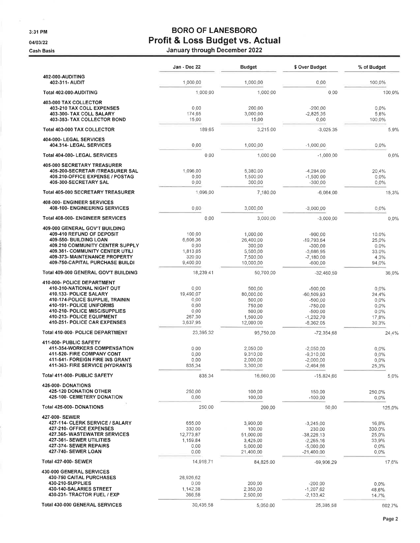3:31 PM

04/03/22

**Cash Basis** 

### **BORO OF LANESBORO** Profit & Loss Budget vs. Actual

January through December 2022

|                                                                                                                                                                                                                                                 | Jan - Dec 22                                                    | Budget                                                                     | \$ Over Budget                                                                                 | % of Budget                                                      |
|-------------------------------------------------------------------------------------------------------------------------------------------------------------------------------------------------------------------------------------------------|-----------------------------------------------------------------|----------------------------------------------------------------------------|------------------------------------------------------------------------------------------------|------------------------------------------------------------------|
| 402-000-AUDITING<br>402-311- AUDIT                                                                                                                                                                                                              | 1,000.00                                                        | 1,000.00                                                                   | 0.00                                                                                           | 100.0%                                                           |
| Total 402-000-AUDITING                                                                                                                                                                                                                          | 1,000.00                                                        | 1,000.00                                                                   | 0.00                                                                                           | 100.0%                                                           |
| 403-000 TAX COLLECTOR<br>403-210 TAX COLL EXPENSES<br>403-300- TAX COLL SALARY<br>403-353- TAX COLLECTOR BOND                                                                                                                                   | 0.00<br>174:65<br>15.00                                         | 200:00<br>3,000.00<br>15.00                                                | $-200.00$<br>$-2,825,35$<br>0.00                                                               | $0.0\%$<br>5.8%<br>100.0%                                        |
| <b>Total 403-000 TAX COLLECTOR</b>                                                                                                                                                                                                              | 189.65                                                          | 3,215.00                                                                   | $-3,025,35$                                                                                    | 5.9%                                                             |
| 404-000- LEGAL SERVICES<br>404.314- LEGAL SERVICES                                                                                                                                                                                              | 0.00                                                            | 1,000.00                                                                   | $-1,000,00$                                                                                    | $0.0\%$                                                          |
| Total 404-000- LEGAL SERVICES                                                                                                                                                                                                                   | 0.00                                                            | 1,000.00                                                                   | $-1,000,00$                                                                                    | 0.0%                                                             |
| <b>405-000 SECRETARY TREASURER</b><br>405-200-SECRETAR /TREASURER SAL<br>405.210-OFFICE EXPENSE / POSTAG<br>405-300-SECRETARY SAL                                                                                                               | 1,096.00<br>0.00<br>0,00                                        | 5,380.00<br>1,500.00<br>300,00                                             | $-4,284,00$<br>$-1,500.00$<br>$-300,00$                                                        | 20.4%<br>$0.0\%$<br>$0.0\%$                                      |
| <b>Total 405-000 SECRETARY TREASURER</b>                                                                                                                                                                                                        | 1,096.00                                                        | 7,180.00                                                                   | $-6,084,00$                                                                                    | 15.3%                                                            |
| 408-000- ENGINEER SERVICES<br><b>408-100- ENGINEERING SERVICES</b>                                                                                                                                                                              | 0,00                                                            | 3,000.00                                                                   | $-3,000,00$                                                                                    | $0.0\%$                                                          |
| Total 408-000- ENGINEER SERVICES                                                                                                                                                                                                                | 0.00                                                            | 3,000.00                                                                   | $-3,000,00$                                                                                    | 0.0%                                                             |
| 409-000 GENERAL GOV'T BUILDING<br>409-410 REFUND OF DEPOSIT<br>409-550- BUILDING LOAN<br>409.210 COMMUNITY CENTER SUPPLY<br>409.361- COMMUNITY CENTER UTILI<br>409-373- MAINTENANCE PROPERTY<br>409-750-CAPITAL PURCHASE BUILDI                 | 100.00<br>6,606,36<br>0,00<br>1,813,05<br>320.00<br>9,400.00    | 1,000.00<br>26,400.00<br>300.00<br>5,500.00<br>7,500.00<br>10,000.00       | $-900.00$<br>$-19.793.64$<br>$-300.00$<br>$-3,686.95$<br>$-7,180,00$<br>$-600.00$              | 10.0%<br>25.0%<br>$0.0\%$<br>33.0%<br>4.3%<br>94.0%              |
| Total 409-000 GENERAL GOV'T BUILDING                                                                                                                                                                                                            | 18,239.41                                                       | 50,700.00                                                                  | $-32,460,59$                                                                                   | 36.0%                                                            |
| 410-000- POLICE DEPARTMENT<br>410-310-NATIONAL NIGHT OUT<br>410.133- POLICE SALARY<br>410-174-POLICE SUPPLIE, TRAININ<br>410-191- POLICE UNIFORMS<br>410-210- POLICE MISC/SUPPLIES<br>410-213- POLICE EQUIPMENT<br>410-251- POLICE CAR EXPENSES | 0.00<br>19,490.07<br>0.00<br>0.00<br>0.00<br>267.30<br>3,637 95 | 500.00<br>80,000.00<br>500.00<br>750.00<br>500.00<br>1,500.00<br>12,000.00 | $-500.00$<br>$-60,509,93$<br>$-500.00$<br>$-750.00$<br>$-500.00$<br>$-1,232.70$<br>$-8,362,05$ | 0.0%<br>24.4%<br>$0.0\%$<br>$0.0\%$<br>$0.0\%$<br>17.8%<br>30.3% |
| <b>Total 410-000- POLICE DEPARTMENT</b>                                                                                                                                                                                                         | 23,395,32                                                       | 95,750.00                                                                  | $-72,354.68$                                                                                   | 24.4%                                                            |
| 411-000- PUBLIC SAFETY<br>411-354-WORKERS COMPENSATION<br>411-520- FIRE COMPANY CONT<br>411-541- FOREIGN FIRE INS GRANT<br><b>411-363- FIRE SERVICE (HYDRANTS</b>                                                                               | 0.00<br>0.00<br>0.00<br>835.34                                  | 2,050.00<br>9,310.00<br>2,000.00<br>3,300.00                               | $-2,050,00$<br>$-9,310,00$<br>$-2,000,00$<br>$-2,464.66$                                       | $0.0\%$<br>$0.0\%$<br>$0.0\%$<br>25.3%                           |
| Total 411-000- PUBLIC SAFETY                                                                                                                                                                                                                    | 835.34                                                          | 16,660.00                                                                  | $-15,824.66$                                                                                   | 5.0%                                                             |
| <b>425-000-DONATIONS</b><br><b>425-120 DONATION OTHER</b><br>425-100- CEMETERY DONATION                                                                                                                                                         | 250.00<br>0.00                                                  | 100.00<br>100.00                                                           | 150,00<br>$-100,00$                                                                            | 250.0%<br>0.0%                                                   |
| Total 425-000- DONATIONS                                                                                                                                                                                                                        | 250.00                                                          | 200.00                                                                     | 50.00                                                                                          | 125.0%                                                           |
| 427-000- SEWER<br>427-114- CLERK SERVICE / SALARY<br>427-210- OFFICE EXPENSES<br>427.365-WASTEWATER SERVICES<br>427-361- SEWER UTILITIES<br>427-374- SEWER REPAIRS<br>427-740- SEWER LOAN                                                       | 655.00<br>330,00<br>12.773.87<br>1,159,84<br>0.00<br>0.00       | 3,900.00<br>100.00<br>51,000.00<br>3,425.00<br>5,000.00<br>21,400.00       | $-3,245,00$<br>230,00<br>$-38,226,13$<br>$-2,265,16$<br>$-5,000.00$<br>$-21,400.00$            | 16.8%<br>330,0%<br>25.0%<br>33.9%<br>$0.0\%$<br>$0.0\%$          |
| <b>Total 427-000- SEWER</b>                                                                                                                                                                                                                     | 14,918.71                                                       | 84,825.00                                                                  | $-69,906,29$                                                                                   | 17.6%                                                            |
| 430-000 GENERAL SERVICES<br>430-750 CAITAL PURCHASES<br>430-210-SUPPLIES<br>430-140-SALARIES STREET<br>430-231- TRACTOR FUEL / EXP                                                                                                              | 28,926.62<br>0.00<br>1,142.38<br>366.58                         | 200,00<br>2,350,00<br>2,500,00                                             | $-200.00$<br>$-1,207.62$<br>$-2,133.42$                                                        | $0.0\%$<br>48.6%<br>14.7%                                        |
| Total 430-000 GENERAL SERVICES                                                                                                                                                                                                                  | 30,435.58                                                       | 5,050.00                                                                   | 25,385.58                                                                                      | 602,7%                                                           |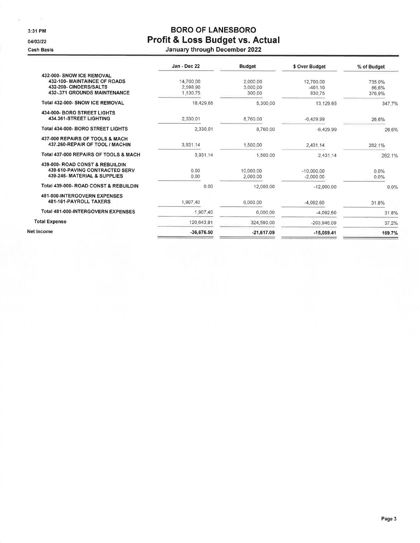3:31 PM

04/03/22

Cash Basis

### **BORO OF LANESBORO** Profit & Loss Budget vs. Actual January through December 2022

| Jan - Dec 22                      | <b>Budget</b>                  | \$ Over Budget                   | % of Budget               |
|-----------------------------------|--------------------------------|----------------------------------|---------------------------|
| 14,700.00<br>2,598.90<br>1.130.75 | 2.000.00<br>3,000.00<br>300.00 | 12,700.00<br>$-401.10$<br>830.75 | 735.0%<br>86.6%<br>376.9% |
| 18,429.65                         | 5.300.00                       | 13,129.65                        | 347.7%                    |
| 2,330.01                          | 8,760.00                       | $-6,429.99$                      | 26.6%                     |
| 2,330.01                          | 8,760.00                       | $-6,429.99$                      | 26.6%                     |
| 3.931.14                          | 1,500.00                       | 2,431.14                         | 262.1%                    |
| 3.931.14                          | 1,500.00                       | 2.431.14                         | 262.1%                    |
| 0.00<br>0.00                      | 10.000.00<br>2.000.00          | $-10,000,00$<br>$-2.000.00$      | $0.0\%$<br>$0.0\%$        |
| 0.00                              | 12,000.00                      | $-12.000.00$                     | $0.0\%$                   |
| 1.907.40                          | 6,000.00                       | $-4.092.60$                      | 31.8%                     |
| 1.907.40                          | 6,000.00                       | $-4.092.60$                      | 31.8%                     |
| 120.643.91                        | 324,590.00                     | $-203,946.09$                    | 37.2%                     |
| $-36,676.50$                      | $-21,617.09$                   | $-15,059.41$                     | 169.7%                    |
|                                   |                                |                                  |                           |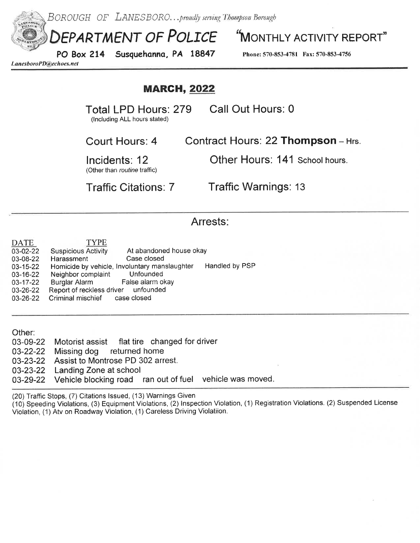

Incidents: 12

Other Hours: 141 School hours.

(Other than routine traffic)

**Traffic Citations: 7** 

**Traffic Warnings: 13** 

### Arrests:

| DATE<br>03-02-22<br>03-08-22<br>03-15-22<br>03-16-22<br>03-17-22<br>03-26-22<br>03-26-22 | <b>TYPE</b><br>At abandoned house okay<br><b>Suspicious Activity</b><br>Case closed<br>Harassment<br>Homicide by vehicle, Involuntary manslaughter<br>Unfounded<br>Neighbor complaint<br>False alarm okay<br>Burglar Alarm<br>Report of reckless driver unfounded<br>Criminal mischief<br>case closed | Handled by PSP |  |
|------------------------------------------------------------------------------------------|-------------------------------------------------------------------------------------------------------------------------------------------------------------------------------------------------------------------------------------------------------------------------------------------------------|----------------|--|
| Other:                                                                                   |                                                                                                                                                                                                                                                                                                       |                |  |
| 03-09-22                                                                                 | Motorist assist flat tire changed for driver                                                                                                                                                                                                                                                          |                |  |
| 03-22-22                                                                                 | Missing dog returned home                                                                                                                                                                                                                                                                             |                |  |
| 03-23-22                                                                                 | Assist to Montrose PD 302 arrest.                                                                                                                                                                                                                                                                     |                |  |
| 03-23-22                                                                                 | Landing Zone at school.                                                                                                                                                                                                                                                                               |                |  |

vehicle was moved. 03-29-22 Vehicle blocking road ran out of fuel

(20) Traffic Stops, (7) Citations Issued, (13) Warnings Given

(10) Speeding Violations, (3) Equipment Violations, (2) Inspection Violation, (1) Registration Violations. (2) Suspended License Violation, (1) Atv on Roadway Violation, (1) Careless Driving Violatiion.